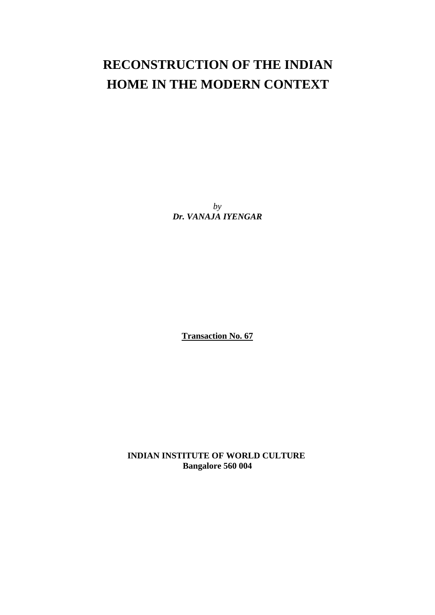# **RECONSTRUCTION OF THE INDIAN HOME IN THE MODERN CONTEXT**

 *by Dr. VANAJA IYENGAR* 

**Transaction No. 67**

**INDIAN INSTITUTE OF WORLD CULTURE Bangalore 560 004**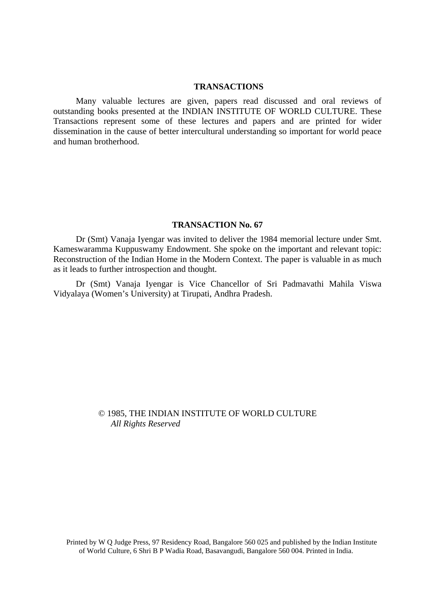#### **TRANSACTIONS**

Many valuable lectures are given, papers read discussed and oral reviews of outstanding books presented at the INDIAN INSTITUTE OF WORLD CULTURE. These Transactions represent some of these lectures and papers and are printed for wider dissemination in the cause of better intercultural understanding so important for world peace and human brotherhood.

### **TRANSACTION No. 67**

Dr (Smt) Vanaja Iyengar was invited to deliver the 1984 memorial lecture under Smt. Kameswaramma Kuppuswamy Endowment. She spoke on the important and relevant topic: Reconstruction of the Indian Home in the Modern Context. The paper is valuable in as much as it leads to further introspection and thought.

Dr (Smt) Vanaja Iyengar is Vice Chancellor of Sri Padmavathi Mahila Viswa Vidyalaya (Women's University) at Tirupati, Andhra Pradesh.

# © 1985, THE INDIAN INSTITUTE OF WORLD CULTURE *All Rights Reserved*

Printed by W Q Judge Press, 97 Residency Road, Bangalore 560 025 and published by the Indian Institute of World Culture, 6 Shri B P Wadia Road, Basavangudi, Bangalore 560 004. Printed in India.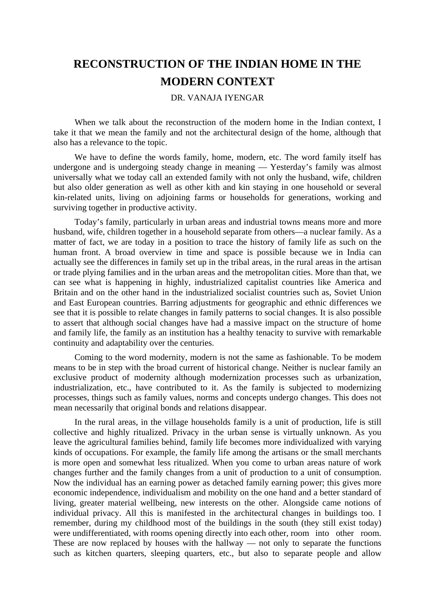# **RECONSTRUCTION OF THE INDIAN HOME IN THE MODERN CONTEXT**

## DR. VANAJA IYENGAR

When we talk about the reconstruction of the modern home in the Indian context, I take it that we mean the family and not the architectural design of the home, although that also has a relevance to the topic.

We have to define the words family, home, modern, etc. The word family itself has undergone and is undergoing steady change in meaning — Yesterday's family was almost universally what we today call an extended family with not only the husband, wife, children but also older generation as well as other kith and kin staying in one household or several kin-related units, living on adjoining farms or households for generations, working and surviving together in productive activity.

Today's family, particularly in urban areas and industrial towns means more and more husband, wife, children together in a household separate from others—a nuclear family. As a matter of fact, we are today in a position to trace the history of family life as such on the human front. A broad overview in time and space is possible because we in India can actually see the differences in family set up in the tribal areas, in the rural areas in the artisan or trade plying families and in the urban areas and the metropolitan cities. More than that, we can see what is happening in highly, industrialized capitalist countries like America and Britain and on the other hand in the industrialized socialist countries such as, Soviet Union and East European countries. Barring adjustments for geographic and ethnic differences we see that it is possible to relate changes in family patterns to social changes. It is also possible to assert that although social changes have had a massive impact on the structure of home and family life, the family as an institution has a healthy tenacity to survive with remarkable continuity and adaptability over the centuries.

Coming to the word modernity, modern is not the same as fashionable. To be modem means to be in step with the broad current of historical change. Neither is nuclear family an exclusive product of modernity although modernization processes such as urbanization, industrialization, etc., have contributed to it. As the family is subjected to modernizing processes, things such as family values, norms and concepts undergo changes. This does not mean necessarily that original bonds and relations disappear.

In the rural areas, in the village households family is a unit of production, life is still collective and highly ritualized. Privacy in the urban sense is virtually unknown. As you leave the agricultural families behind, family life becomes more individualized with varying kinds of occupations. For example, the family life among the artisans or the small merchants is more open and somewhat less ritualized. When you come to urban areas nature of work changes further and the family changes from a unit of production to a unit of consumption. Now the individual has an earning power as detached family earning power; this gives more economic independence, individualism and mobility on the one hand and a better standard of living, greater material wellbeing, new interests on the other. Alongside came notions of individual privacy. All this is manifested in the architectural changes in buildings too. I remember, during my childhood most of the buildings in the south (they still exist today) were undifferentiated, with rooms opening directly into each other, room into other room. These are now replaced by houses with the hallway — not only to separate the functions such as kitchen quarters, sleeping quarters, etc., but also to separate people and allow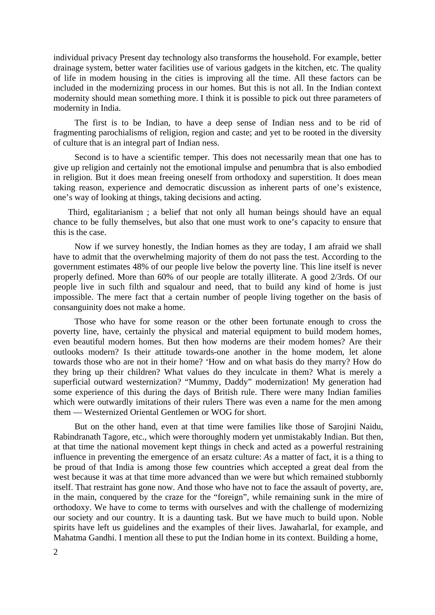individual privacy Present day technology also transforms the household. For example, better drainage system, better water facilities use of various gadgets in the kitchen, etc. The quality of life in modem housing in the cities is improving all the time. All these factors can be included in the modernizing process in our homes. But this is not all. In the Indian context modernity should mean something more. I think it is possible to pick out three parameters of modernity in India.

The first is to be Indian, to have a deep sense of Indian ness and to be rid of fragmenting parochialisms of religion, region and caste; and yet to be rooted in the diversity of culture that is an integral part of Indian ness.

Second is to have a scientific temper. This does not necessarily mean that one has to give up religion and certainly not the emotional impulse and penumbra that is also embodied in religion. But it does mean freeing oneself from orthodoxy and superstition. It does mean taking reason, experience and democratic discussion as inherent parts of one's existence, one's way of looking at things, taking decisions and acting.

Third, egalitarianism ; a belief that not only all human beings should have an equal chance to be fully themselves, but also that one must work to one's capacity to ensure that this is the case.

Now if we survey honestly, the Indian homes as they are today, I am afraid we shall have to admit that the overwhelming majority of them do not pass the test. According to the government estimates 48% of our people live below the poverty line. This line itself is never properly defined. More than 60% of our people are totally illiterate. A good 2/3rds. Of our people live in such filth and squalour and need, that to build any kind of home is just impossible. The mere fact that a certain number of people living together on the basis of consanguinity does not make a home.

Those who have for some reason or the other been fortunate enough to cross the poverty line, have, certainly the physical and material equipment to build modem homes, even beautiful modern homes. But then how moderns are their modem homes? Are their outlooks modern? Is their attitude towards-one another in the home modem, let alone towards those who are not in their home? 'How and on what basis do they marry? How do they bring up their children? What values do they inculcate in them? What is merely a superficial outward westernization? "Mummy, Daddy" modernization! My generation had some experience of this during the days of British rule. There were many Indian families which were outwardly imitations of their rulers There was even a name for the men among them — Westernized Oriental Gentlemen or WOG for short.

But on the other hand, even at that time were families like those of Sarojini Naidu, Rabindranath Tagore, etc., which were thoroughly modern yet unmistakably Indian. But then, at that time the national movement kept things in check and acted as a powerful restraining influence in preventing the emergence of an ersatz culture: *As* a matter of fact, it is a thing to be proud of that India is among those few countries which accepted a great deal from the west because it was at that time more advanced than we were but which remained stubbornly itself. That restraint has gone now. And those who have not to face the assault of poverty, are, in the main, conquered by the craze for the "foreign", while remaining sunk in the mire of orthodoxy. We have to come to terms with ourselves and with the challenge of modernizing our society and our country. It is a daunting task. But we have much to build upon. Noble spirits have left us guidelines and the examples of their lives. Jawaharlal, for example, and Mahatma Gandhi. I mention all these to put the Indian home in its context. Building a home,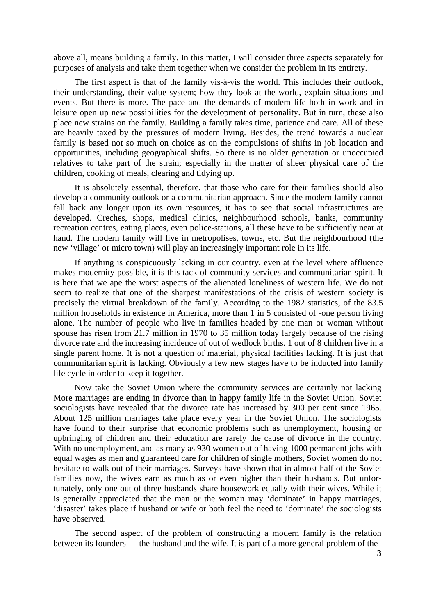above all, means building a family. In this matter, I will consider three aspects separately for purposes of analysis and take them together when we consider the problem in its entirety.

The first aspect is that of the family vis-à-vis the world. This includes their outlook, their understanding, their value system; how they look at the world, explain situations and events. But there is more. The pace and the demands of modem life both in work and in leisure open up new possibilities for the development of personality. But in turn, these also place new strains on the family. Building a family takes time, patience and care. All of these are heavily taxed by the pressures of modern living. Besides, the trend towards a nuclear family is based not so much on choice as on the compulsions of shifts in job location and opportunities, including geographical shifts. So there is no older generation or unoccupied relatives to take part of the strain; especially in the matter of sheer physical care of the children, cooking of meals, clearing and tidying up.

It is absolutely essential, therefore, that those who care for their families should also develop a community outlook or a communitarian approach. Since the modern family cannot fall back any longer upon its own resources, it has to see that social infrastructures are developed. Creches, shops, medical clinics, neighbourhood schools, banks, community recreation centres, eating places, even police-stations, all these have to be sufficiently near at hand. The modern family will live in metropolises, towns, etc. But the neighbourhood (the new 'village' or micro town) will play an increasingly important role in its life.

If anything is conspicuously lacking in our country, even at the level where affluence makes modernity possible, it is this tack of community services and communitarian spirit. It is here that we ape the worst aspects of the alienated loneliness of western life. We do not seem to realize that one of the sharpest manifestations of the crisis of western society is precisely the virtual breakdown of the family. According to the 1982 statistics, of the 83.5 million households in existence in America, more than 1 in 5 consisted of -one person living alone. The number of people who live in families headed by one man or woman without spouse has risen from 21.7 million in 1970 to 35 million today largely because of the rising divorce rate and the increasing incidence of out of wedlock births. 1 out of 8 children live in a single parent home. It is not a question of material, physical facilities lacking. It is just that communitarian spirit is lacking. Obviously a few new stages have to be inducted into family life cycle in order to keep it together.

Now take the Soviet Union where the community services are certainly not lacking More marriages are ending in divorce than in happy family life in the Soviet Union. Soviet sociologists have revealed that the divorce rate has increased by 300 per cent since 1965. About 125 million marriages take place every year in the Soviet Union. The sociologists have found to their surprise that economic problems such as unemployment, housing or upbringing of children and their education are rarely the cause of divorce in the country. With no unemployment, and as many as 930 women out of having 1000 permanent jobs with equal wages as men and guaranteed care for children of single mothers, Soviet women do not hesitate to walk out of their marriages. Surveys have shown that in almost half of the Soviet families now, the wives earn as much as or even higher than their husbands. But unfortunately, only one out of three husbands share housework equally with their wives. While it is generally appreciated that the man or the woman may 'dominate' in happy marriages, 'disaster' takes place if husband or wife or both feel the need to 'dominate' the sociologists have observed.

The second aspect of the problem of constructing a modern family is the relation between its founders — the husband and the wife. It is part of a more general problem of the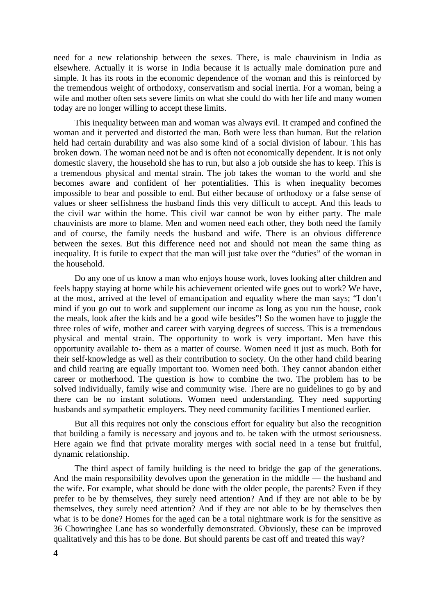need for a new relationship between the sexes. There, is male chauvinism in India as elsewhere. Actually it is worse in India because it is actually male domination pure and simple. It has its roots in the economic dependence of the woman and this is reinforced by the tremendous weight of orthodoxy, conservatism and social inertia. For a woman, being a wife and mother often sets severe limits on what she could do with her life and many women today are no longer willing to accept these limits.

This inequality between man and woman was always evil. It cramped and confined the woman and it perverted and distorted the man. Both were less than human. But the relation held had certain durability and was also some kind of a social division of labour. This has broken down. The woman need not be and is often not economically dependent. It is not only domestic slavery, the household she has to run, but also a job outside she has to keep. This is a tremendous physical and mental strain. The job takes the woman to the world and she becomes aware and confident of her potentialities. This is when inequality becomes impossible to bear and possible to end. But either because of orthodoxy or a false sense of values or sheer selfishness the husband finds this very difficult to accept. And this leads to the civil war within the home. This civil war cannot be won by either party. The male chauvinists are more to blame. Men and women need each other, they both need the family and of course, the family needs the husband and wife. There is an obvious difference between the sexes. But this difference need not and should not mean the same thing as inequality. It is futile to expect that the man will just take over the "duties" of the woman in the household.

Do any one of us know a man who enjoys house work, loves looking after children and feels happy staying at home while his achievement oriented wife goes out to work? We have, at the most, arrived at the level of emancipation and equality where the man says; "I don't mind if you go out to work and supplement our income as long as you run the house, cook the meals, look after the kids and be a good wife besides"! So the women have to juggle the three roles of wife, mother and career with varying degrees of success. This is a tremendous physical and mental strain. The opportunity to work is very important. Men have this opportunity available to- them as a matter of course. Women need it just as much. Both for their self-knowledge as well as their contribution to society. On the other hand child bearing and child rearing are equally important too. Women need both. They cannot abandon either career or motherhood. The question is how to combine the two. The problem has to be solved individually, family wise and community wise. There are no guidelines to go by and there can be no instant solutions. Women need understanding. They need supporting husbands and sympathetic employers. They need community facilities I mentioned earlier.

But all this requires not only the conscious effort for equality but also the recognition that building a family is necessary and joyous and to. be taken with the utmost seriousness. Here again we find that private morality merges with social need in a tense but fruitful, dynamic relationship.

The third aspect of family building is the need to bridge the gap of the generations. And the main responsibility devolves upon the generation in the middle — the husband and the wife. For example, what should be done with the older people, the parents? Even if they prefer to be by themselves, they surely need attention? And if they are not able to be by themselves, they surely need attention? And if they are not able to be by themselves then what is to be done? Homes for the aged can be a total nightmare work is for the sensitive as 36 Chowringhee Lane has so wonderfully demonstrated. Obviously, these can be improved qualitatively and this has to be done. But should parents be cast off and treated this way?